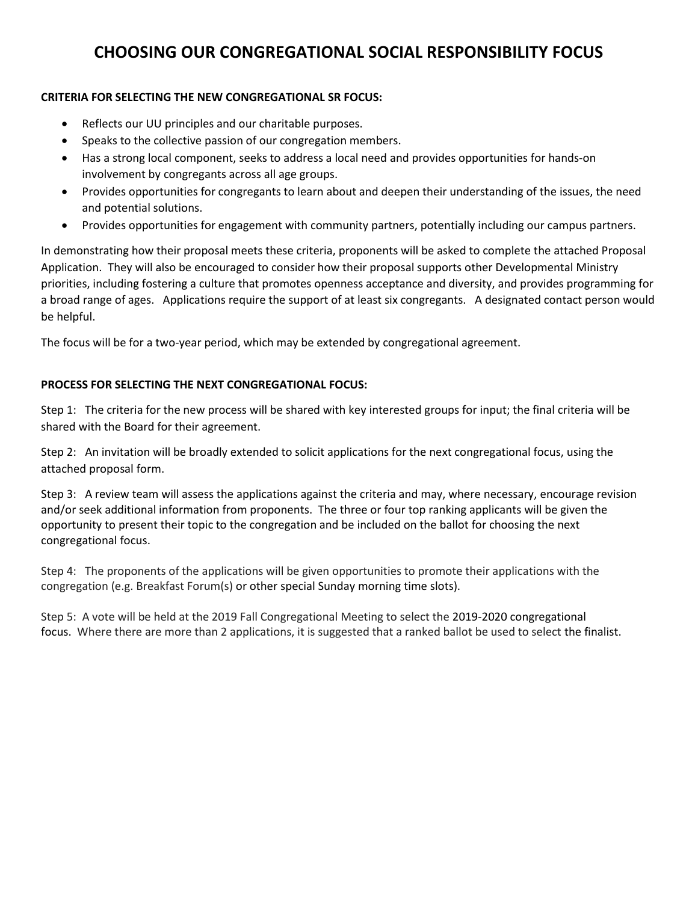## **CHOOSING OUR CONGREGATIONAL SOCIAL RESPONSIBILITY FOCUS**

## **CRITERIA FOR SELECTING THE NEW CONGREGATIONAL SR FOCUS:**

- Reflects our UU principles and our charitable purposes.
- Speaks to the collective passion of our congregation members.
- Has a strong local component, seeks to address a local need and provides opportunities for hands-on involvement by congregants across all age groups.
- Provides opportunities for congregants to learn about and deepen their understanding of the issues, the need and potential solutions.
- Provides opportunities for engagement with community partners, potentially including our campus partners.

In demonstrating how their proposal meets these criteria, proponents will be asked to complete the attached Proposal Application. They will also be encouraged to consider how their proposal supports other Developmental Ministry priorities, including fostering a culture that promotes openness acceptance and diversity, and provides programming for a broad range of ages. Applications require the support of at least six congregants. A designated contact person would be helpful.

The focus will be for a two-year period, which may be extended by congregational agreement.

## **PROCESS FOR SELECTING THE NEXT CONGREGATIONAL FOCUS:**

Step 1: The criteria for the new process will be shared with key interested groups for input; the final criteria will be shared with the Board for their agreement.

Step 2: An invitation will be broadly extended to solicit applications for the next congregational focus, using the attached proposal form.

Step 3: A review team will assess the applications against the criteria and may, where necessary, encourage revision and/or seek additional information from proponents. The three or four top ranking applicants will be given the opportunity to present their topic to the congregation and be included on the ballot for choosing the next congregational focus.

Step 4: The proponents of the applications will be given opportunities to promote their applications with the congregation (e.g. Breakfast Forum(s) or other special Sunday morning time slots).

Step 5: A vote will be held at the 2019 Fall Congregational Meeting to select the 2019-2020 congregational focus. Where there are more than 2 applications, it is suggested that a ranked ballot be used to select the finalist.